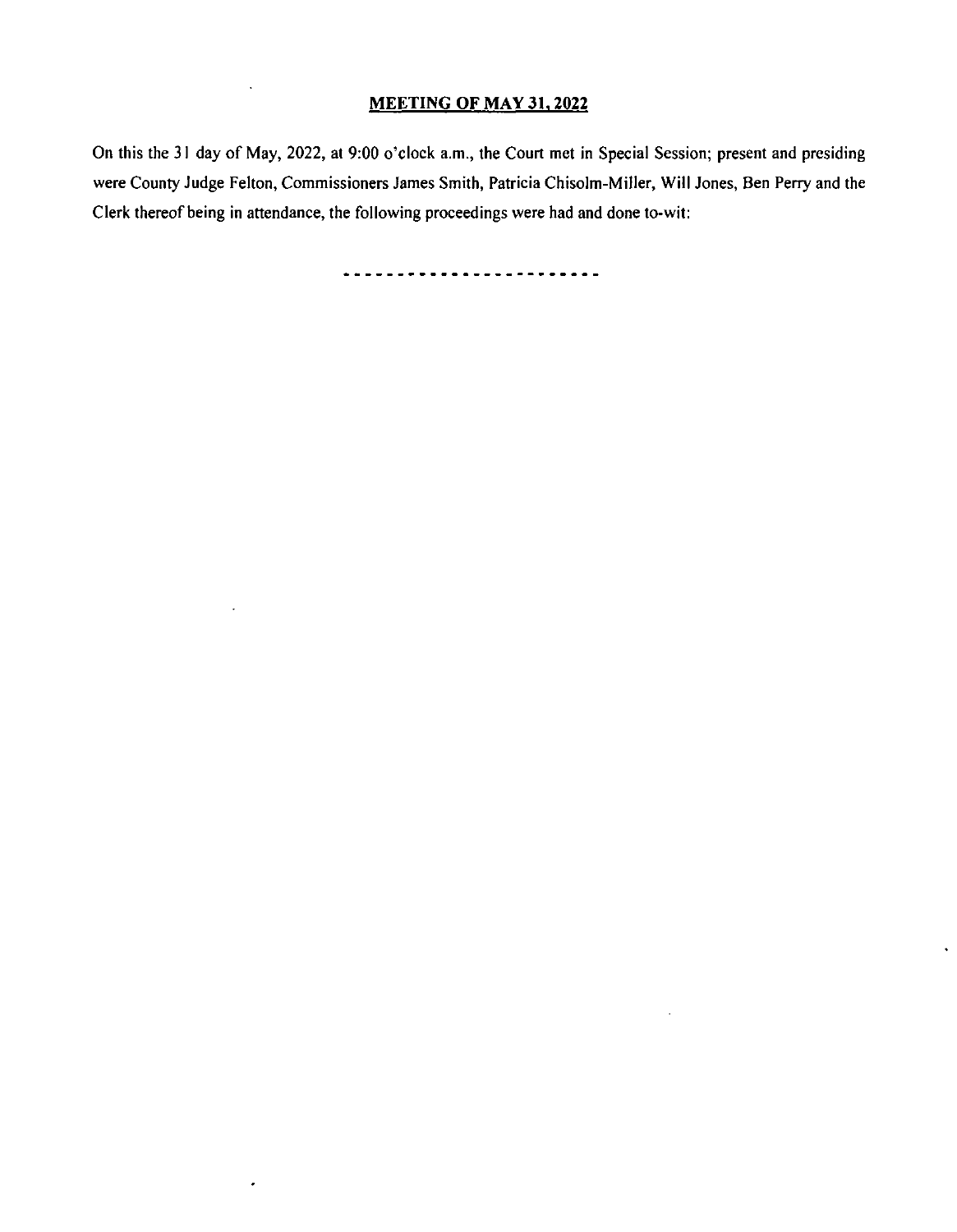## MEETING OF MAY 31, 2022

On this the 31 day of May, 2022, at 9:00 o'clock a.m., the Court met in Special Session; present and presiding were County Judge Felton, Commissioners James Smith, Patricia Chisolm- Miller, Will Jones, Ben Perry and the Clerk thereof being in attendance, the following proceedings were had and done to- wit:

<u>.........................</u>

 $\bullet$ 

 $\ddot{\phantom{0}}$ 

 $\cdot$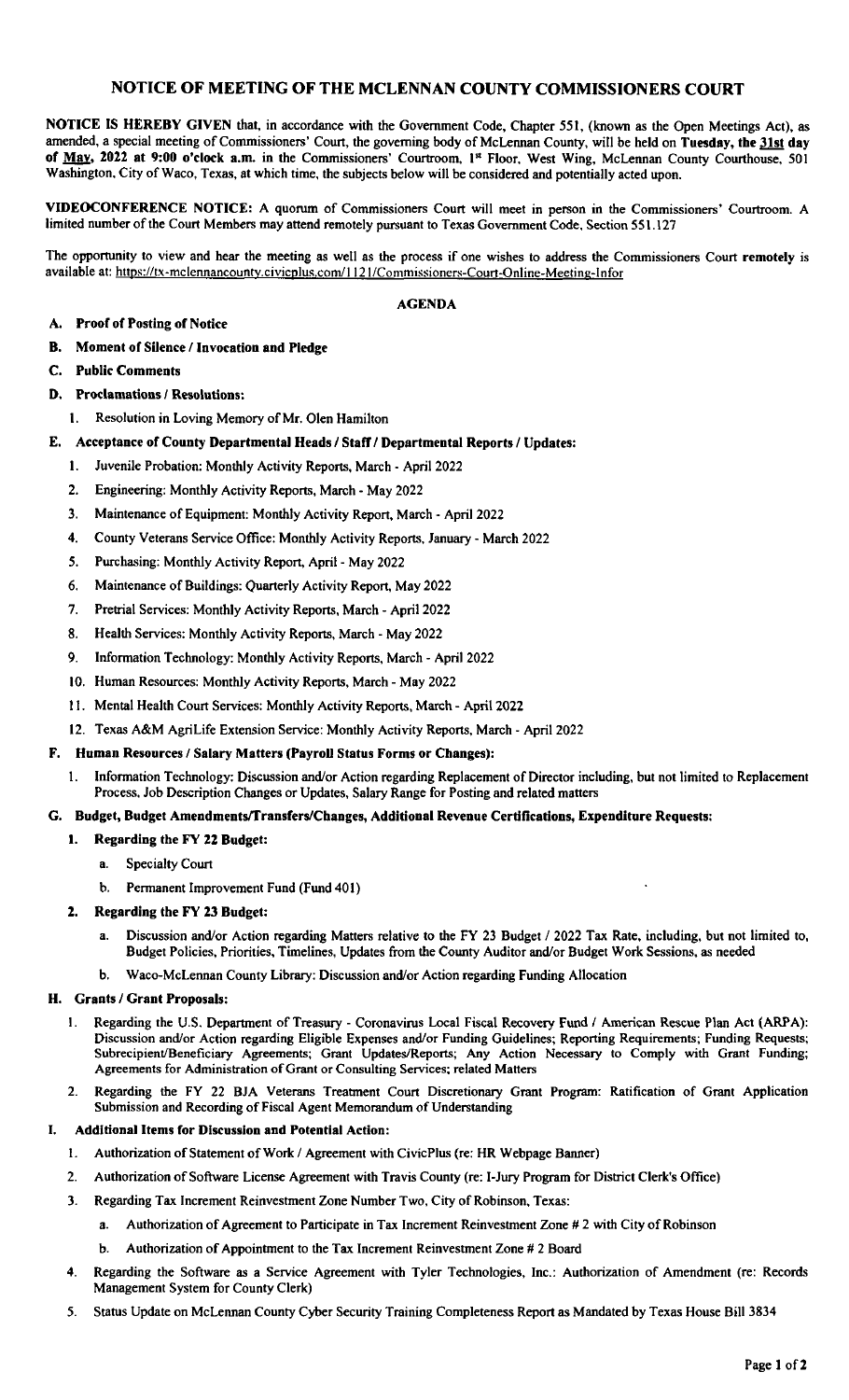## NOTICE OF MEETING OF THE MCLENNAN COUNTY COMMISSIONERS COURT

NOTICE IS HEREBY GIVEN that, in accordance with the Government Code, Chapter 551, ( known as the Open Meetings Act), as amended, a special meeting of Commissioners' Court, the governing body of McLennan County, will be held on Tuesday, the 31st day of May, 2022 at 9:00 o'clock a.m. in the Commissioners' Courtroom, 1<sup>st</sup> Floor, West Wing, McLennan County Courthouse, 501 Washington, City of Waco, Texas, at which time, the subjects below will be considered and potentially acted upon.

VIDEOCONFERENCE NOTICE: A quorum of Commissioners Court will meet in person in the Commissioners' Courtroom. A limited number of the Court Members may attend remotely pursuant to Texas Government Code, Section 551.127

The opportunity to view and hear the meeting as well as the process if one wishes to address the Commissioners Court remotely is available at: https://tx-mclennancounty.civicplus.com/1121/Commissioners-Court-Online-Meeting-Infor

#### AGENDA

- A. Proof of Posting of Notice
- B. Moment of Silence/ Invocation and Pledge
- C. Public Comments
- D. Proclamations/ Resolutions:
	- I. Resolution in Loving Memory of Mr. Olen Hamilton
- E. Acceptance of County Departmental Heads/ Staff/ Departmental Reports/ Updates:
	- I. Juvenile Probation: Monthly Activity Reports, March- April 2022
	- 2. Engineering: Monthly Activity Reports, March- May 2022
	- 3. Maintenance of Equipment: Monthly Activity Report, March- April 2022
	- 4. County Veterans Service Office: Monthly Activity Reports, January- March 2022
	- 5. Purchasing: Monthly Activity Report, April- May 2022
	- 6. Maintenance of Buildings: Quarterly Activity Report, May 2022
	- 7. Pretrial Services: Monthly Activity Reports, March- April 2022
	- 8. Health Services: Monthly Activity Reports, March- May 2022
	- 9. Information Technology: Monthly Activity Reports, March- April 2022
	- 10. Human Resources: Monthly Activity Reports, March- May 2022
	- 11. Mental Health Court Services: Monthly Activity Reports, March- April 2022
	- 12. Texas A&M AgriLife Extension Service: Monthly Activity Reports, March- April 2022

#### F. Human Resources/ Salary Matters( Payroll Status Forms or Changes):

1. Information Technology: Discussion and/or Action regarding Replacement of Director including, but not limited to Replacement Process, Job Description Changes or Updates, Salary Range for Posting and related matters

#### G. Budget, Budget Amendments/Transfers/Changes, Additional Revenue Certifications, Expenditure Requests:

- 1. Regarding the FY 22 Budget:
	- a. Specialty Court
	- b. Permanent Improvement Fund (Fund 401)

#### 2. Regarding the FY 23 Budget:

- a. Discussion and/or Action regarding Matters relative to the FY 23 Budget / 2022 Tax Rate, including, but not limited to, Budget Policies, Priorities, Timelines, Updates from the County Auditor and/or Budget Work Sessions, as needed
- b. Waco-McLennan County Library: Discussion and/or Action regarding Funding Allocation

#### H. Grants/ Grant Proposals:

- 1. Regarding the U.S. Department of Treasury Coronavirus Local Fiscal Recovery Fund / American Rescue Plan Act (ARPA): Discussion and/or Action regarding Eligible Expenses and/or Funding Guidelines; Reporting Requirements; Funding Requests; Subrecipient/Beneficiary Agreements; Grant Updates/Reports; Any Action Necessary to Comply with Grant Funding; Agreements for Administration of Grant or Consulting Services; related Matters
- 2. Regarding the FY 22 BJA Veterans Treatment Court Discretionary Grant Program: Ratification of Grant Application Submission and Recording of Fiscal Agent Memorandum of Understanding

#### I. Additional Items for Discussion and Potential Action:

- 1. Authorization of Statement of Work / Agreement with CivicPlus (re: HR Webpage Banner)
- 2. Authorization of Software License Agreement with Travis County (re: I-Jury Program for District Clerk's Office)
- 3. Regarding Tax Increment Reinvestment Zone Number Two, City of Robinson, Texas:
	- a. Authorization of Agreement to Participate in Tax Increment Reinvestment Zone# 2 with City of Robinson
	- b. Authorization of Appointment to the Tax Increment Reinvestment Zone# 2 Board
- 4. Regarding the Software as a Service Agreement with Tyler Technologies, Inc.: Authorization of Amendment (re: Records Management System for County Clerk)
- 5. Status Update on McLennan County Cyber Security Training Completeness Report as Mandated by Texas House Bill 3834